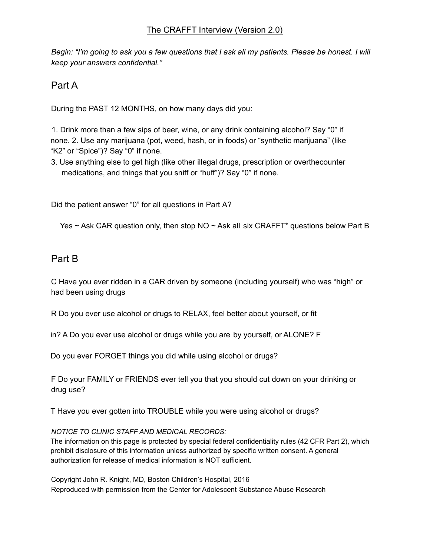Begin: "I'm going to ask you a few questions that I ask all my patients. Please be honest. I will *keep your answers confidential."*

## Part A

During the PAST 12 MONTHS, on how many days did you:

1. Drink more than a few sips of beer, wine, or any drink containing alcohol? Say "0" if none. 2. Use any marijuana (pot, weed, hash, or in foods) or "synthetic marijuana" (like "K2" or "Spice")? Say "0" if none.

3. Use anything else to get high (like other illegal drugs, prescription or overthecounter medications, and things that you sniff or "huff")? Say "0" if none.

Did the patient answer "0" for all questions in Part A?

Yes  $\sim$  Ask CAR question only, then stop NO  $\sim$  Ask all six CRAFFT<sup>\*</sup> questions below Part B

## Part B

C Have you ever ridden in a CAR driven by someone (including yourself) who was "high" or had been using drugs

R Do you ever use alcohol or drugs to RELAX, feel better about yourself, or fit

in? A Do you ever use alcohol or drugs while you are by yourself, or ALONE? F

Do you ever FORGET things you did while using alcohol or drugs?

F Do your FAMILY or FRIENDS ever tell you that you should cut down on your drinking or drug use?

T Have you ever gotten into TROUBLE while you were using alcohol or drugs?

## *NOTICE TO CLINIC STAFF AND MEDICAL RECORDS:*

The information on this page is protected by special federal confidentiality rules (42 CFR Part 2), which prohibit disclosure of this information unless authorized by specific written consent. A general authorization for release of medical information is NOT sufficient.

Copyright John R. Knight, MD, Boston Children's Hospital, 2016 Reproduced with permission from the Center for Adolescent Substance Abuse Research